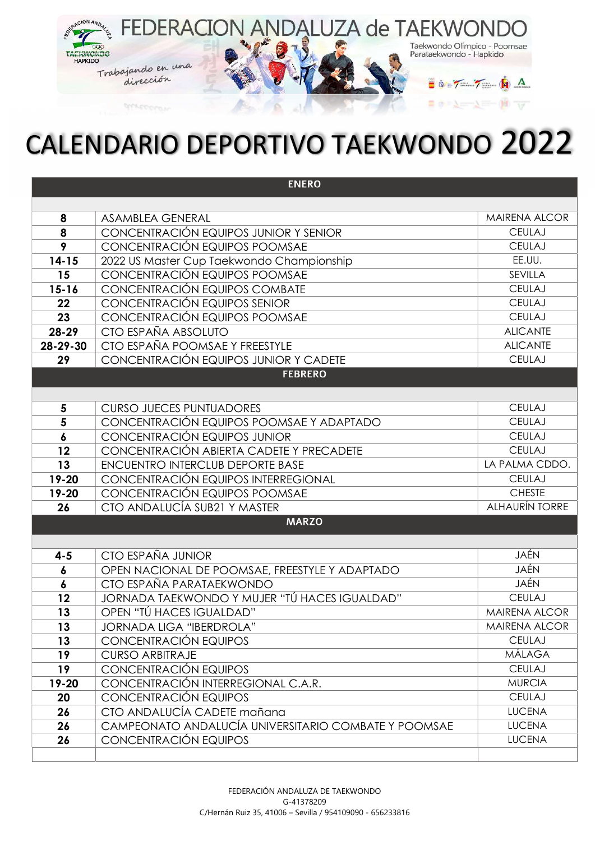

## CALENDARIO DEPORTIVO TAEKWONDO 2022

| <b>ENERO</b>     |                                                      |                       |  |
|------------------|------------------------------------------------------|-----------------------|--|
|                  |                                                      |                       |  |
| 8                | <b>ASAMBLEA GENERAL</b>                              | <b>MAIRENA ALCOR</b>  |  |
| 8                | CONCENTRACIÓN EQUIPOS JUNIOR Y SENIOR                | <b>CEULAJ</b>         |  |
| 9                | CONCENTRACIÓN EQUIPOS POOMSAE                        | <b>CEULAJ</b>         |  |
| $14 - 15$        | 2022 US Master Cup Taekwondo Championship            | EE.UU.                |  |
| 15               | CONCENTRACIÓN EQUIPOS POOMSAE                        | SEVILLA               |  |
| $15 - 16$        | CONCENTRACIÓN EQUIPOS COMBATE                        | <b>CEULAJ</b>         |  |
| 22               | CONCENTRACIÓN EQUIPOS SENIOR                         | <b>CEULAJ</b>         |  |
| 23               | CONCENTRACIÓN EQUIPOS POOMSAE                        | <b>CEULAJ</b>         |  |
| 28-29            | CTO ESPAÑA ABSOLUTO                                  | <b>ALICANTE</b>       |  |
| 28-29-30         | CTO ESPAÑA POOMSAE Y FREESTYLE                       | <b>ALICANTE</b>       |  |
| 29               | CONCENTRACIÓN EQUIPOS JUNIOR Y CADETE                | <b>CEULAJ</b>         |  |
|                  | <b>FEBRERO</b>                                       |                       |  |
|                  |                                                      |                       |  |
| 5                | <b>CURSO JUECES PUNTUADORES</b>                      | <b>CEULAJ</b>         |  |
| 5                | CONCENTRACIÓN EQUIPOS POOMSAE Y ADAPTADO             | <b>CEULAJ</b>         |  |
| $\boldsymbol{6}$ | CONCENTRACIÓN EQUIPOS JUNIOR                         | <b>CEULAJ</b>         |  |
| 12               | CONCENTRACIÓN ABIERTA CADETE Y PRECADETE             | <b>CEULAJ</b>         |  |
| 13               | <b>ENCUENTRO INTERCLUB DEPORTE BASE</b>              | LA PALMA CDDO.        |  |
| 19-20            | CONCENTRACIÓN EQUIPOS INTERREGIONAL                  | <b>CEULAJ</b>         |  |
| 19-20            | CONCENTRACIÓN EQUIPOS POOMSAE                        | <b>CHESTE</b>         |  |
| 26               | CTO ANDALUCÍA SUB21 Y MASTER                         | <b>ALHAURÍN TORRE</b> |  |
|                  | <b>MARZO</b>                                         |                       |  |
|                  |                                                      |                       |  |
| $4 - 5$          | CTO ESPAÑA JUNIOR                                    | JAÉN                  |  |
| $\boldsymbol{6}$ | OPEN NACIONAL DE POOMSAE, FREESTYLE Y ADAPTADO       | JAÉN                  |  |
| 6                | CTO ESPAÑA PARATAEKWONDO                             | JAÉN                  |  |
| 12               | JORNADA TAEKWONDO Y MUJER "TÚ HACES IGUALDAD"        | <b>CEULAJ</b>         |  |
| 13               | OPEN "TÚ HACES IGUALDAD"                             | <b>MAIRENA ALCOR</b>  |  |
| 13               | JORNADA LIGA "IBERDROLA"                             | MAIRENA ALCOR         |  |
| 13               | CONCENTRACIÓN EQUIPOS                                | <b>CEULAJ</b>         |  |
| 19               | <b>CURSO ARBITRAJE</b>                               | <b>MÁLAGA</b>         |  |
| 19               | CONCENTRACIÓN EQUIPOS                                | <b>CEULAJ</b>         |  |
| 19-20            | CONCENTRACIÓN INTERREGIONAL C.A.R.                   | <b>MURCIA</b>         |  |
| 20               | CONCENTRACIÓN EQUIPOS                                | <b>CEULAJ</b>         |  |
| 26               | CTO ANDALUCÍA CADETE mañana                          | <b>LUCENA</b>         |  |
| 26               | CAMPEONATO ANDALUCÍA UNIVERSITARIO COMBATE Y POOMSAE | <b>LUCENA</b>         |  |
| 26               | CONCENTRACIÓN EQUIPOS                                | <b>LUCENA</b>         |  |
|                  |                                                      |                       |  |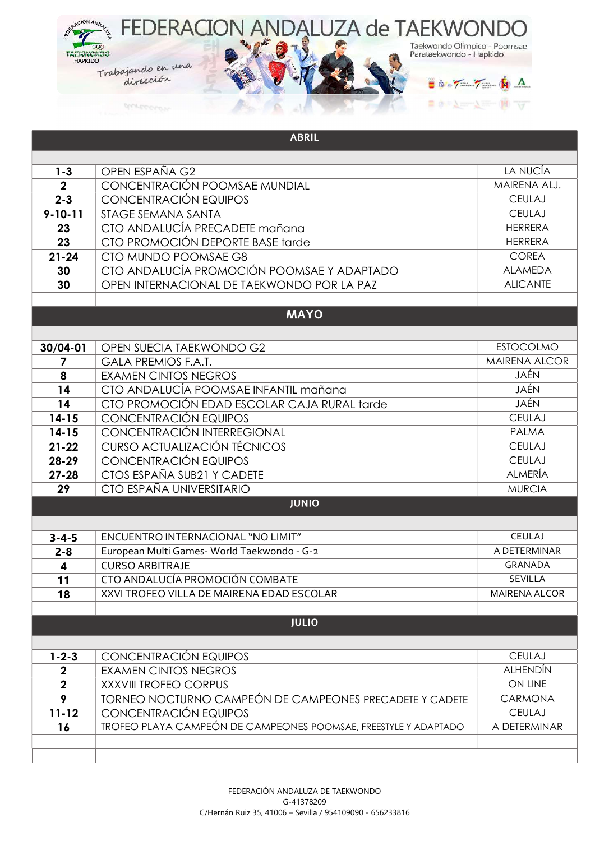

|                | <b>ABRIL</b>                                                           |                      |
|----------------|------------------------------------------------------------------------|----------------------|
|                |                                                                        |                      |
| $1 - 3$        | OPEN ESPAÑA G2                                                         | LA NUCÍA             |
| $\overline{2}$ | CONCENTRACIÓN POOMSAE MUNDIAL                                          | MAIRENA ALJ.         |
| $2 - 3$        | CONCENTRACIÓN EQUIPOS                                                  | <b>CEULAJ</b>        |
| $9 - 10 - 11$  | STAGE SEMANA SANTA                                                     | <b>CEULAJ</b>        |
| 23             | CTO ANDALUCÍA PRECADETE mañana                                         | <b>HERRERA</b>       |
| 23             | CTO PROMOCIÓN DEPORTE BASE tarde                                       | <b>HERRERA</b>       |
| $21 - 24$      | CTO MUNDO POOMSAE G8                                                   | <b>COREA</b>         |
| 30             | CTO ANDALUCÍA PROMOCIÓN POOMSAE Y ADAPTADO                             | <b>ALAMEDA</b>       |
| 30             | OPEN INTERNACIONAL DE TAEKWONDO POR LA PAZ                             | <b>ALICANTE</b>      |
|                |                                                                        |                      |
|                | <b>MAYO</b>                                                            |                      |
|                |                                                                        |                      |
| 30/04-01       | OPEN SUECIA TAEKWONDO G2                                               | <b>ESTOCOLMO</b>     |
| 7              | <b>GALA PREMIOS F.A.T.</b>                                             | <b>MAIRENA ALCOR</b> |
| 8              | <b>EXAMEN CINTOS NEGROS</b>                                            | JAÉN                 |
| 14             | CTO ANDALUCÍA POOMSAE INFANTIL mañana                                  | JAÉN                 |
| 14             | CTO PROMOCIÓN EDAD ESCOLAR CAJA RURAL tarde                            | JAÉN                 |
| $14 - 15$      | CONCENTRACIÓN EQUIPOS                                                  | <b>CEULAJ</b>        |
| $14 - 15$      | CONCENTRACIÓN INTERREGIONAL                                            | <b>PALMA</b>         |
| $21 - 22$      | CURSO ACTUALIZACIÓN TÉCNICOS                                           | <b>CEULAJ</b>        |
| 28-29          | CONCENTRACIÓN EQUIPOS                                                  | <b>CEULAJ</b>        |
| $27 - 28$      | CTOS ESPAÑA SUB21 Y CADETE                                             | <b>ALMERÍA</b>       |
| 29             | CTO ESPAÑA UNIVERSITARIO                                               | <b>MURCIA</b>        |
|                | <b>JUNIO</b>                                                           |                      |
|                |                                                                        |                      |
| $3 - 4 - 5$    | ENCUENTRO INTERNACIONAL "NO LIMIT"                                     | CEULAJ               |
| $2 - 8$        | European Multi Games- World Taekwondo - G-2                            | A DETERMINAR         |
| 4              | <b>CURSO ARBITRAJE</b>                                                 | <b>GRANADA</b>       |
| 11             | CTO ANDALUCÍA PROMOCIÓN COMBATE                                        | SEVILLA              |
| 18             | XXVI TROFEO VILLA DE MAIRENA EDAD ESCOLAR                              | <b>MAIRENA ALCOR</b> |
|                |                                                                        |                      |
|                | <b>JULIO</b>                                                           |                      |
|                |                                                                        |                      |
| $1 - 2 - 3$    | CONCENTRACIÓN EQUIPOS                                                  | <b>CEULAJ</b>        |
| $\mathbf 2$    | <b>EXAMEN CINTOS NEGROS</b>                                            | <b>ALHENDÍN</b>      |
| $\mathbf{2}$   | <b>XXXVIII TROFEO CORPUS</b>                                           | ON LINE              |
| 9              | <b>TORNEO NOCTURNO CAMPEÓN DE CAMPEONES PRECADETE Y CADETE</b>         | CARMONA              |
| $11 - 12$      | CONCENTRACIÓN EQUIPOS                                                  | <b>CEULAJ</b>        |
| 16             | <b>TROFEO PLAYA CAMPEÓN DE CAMPEONES POOMSAE, FREESTYLE Y ADAPTADO</b> | A DETERMINAR         |
|                |                                                                        |                      |
|                |                                                                        |                      |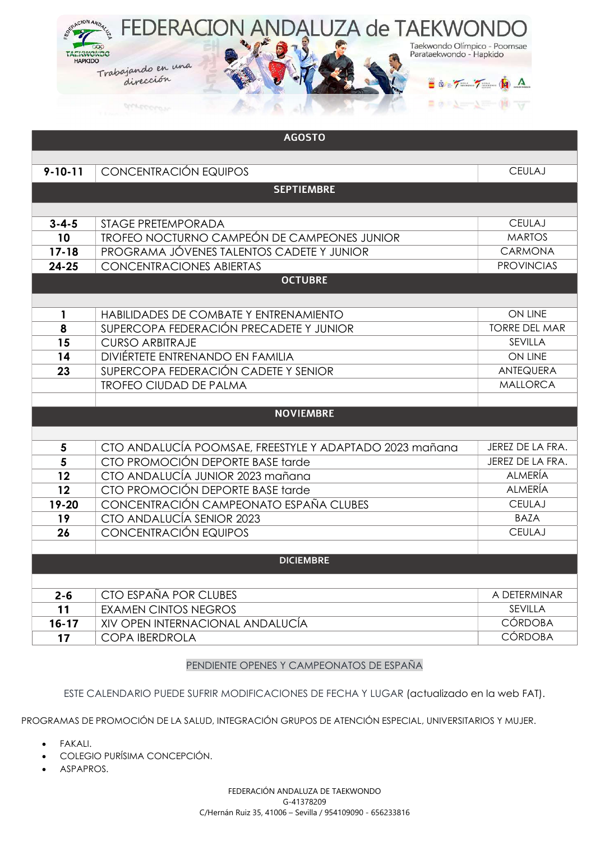

| <b>AGOSTO</b> |                                                         |                      |
|---------------|---------------------------------------------------------|----------------------|
|               |                                                         |                      |
| $9 - 10 - 11$ | CONCENTRACIÓN EQUIPOS                                   | <b>CEULAJ</b>        |
|               | <b>SEPTIEMBRE</b>                                       |                      |
|               |                                                         |                      |
| $3 - 4 - 5$   | <b>STAGE PRETEMPORADA</b>                               | <b>CEULAJ</b>        |
| 10            | <b>TROFEO NOCTURNO CAMPEÓN DE CAMPEONES JUNIOR</b>      | <b>MARTOS</b>        |
| $17 - 18$     | PROGRAMA JÓVENES TALENTOS CADETE Y JUNIOR               | <b>CARMONA</b>       |
| $24 - 25$     | <b>CONCENTRACIONES ABIERTAS</b>                         | <b>PROVINCIAS</b>    |
|               | <b>OCTUBRE</b>                                          |                      |
|               |                                                         |                      |
| $\mathbf{1}$  | HABILIDADES DE COMBATE Y ENTRENAMIENTO                  | <b>ON LINE</b>       |
| 8             | SUPERCOPA FEDERACIÓN PRECADETE Y JUNIOR                 | <b>TORRE DEL MAR</b> |
| 15            | <b>CURSO ARBITRAJE</b>                                  | SEVILLA              |
| 14            | DIVIÉRTETE ENTRENANDO EN FAMILIA                        | ON LINE              |
| 23            | SUPERCOPA FEDERACIÓN CADETE Y SENIOR                    | <b>ANTEQUERA</b>     |
|               | <b>TROFEO CIUDAD DE PALMA</b>                           | <b>MALLORCA</b>      |
|               |                                                         |                      |
|               | <b>NOVIEMBRE</b>                                        |                      |
|               |                                                         |                      |
| 5             | CTO ANDALUCÍA POOMSAE, FREESTYLE Y ADAPTADO 2023 mañana | JEREZ DE LA FRA.     |
| 5             | CTO PROMOCIÓN DEPORTE BASE tarde                        | JEREZ DE LA FRA.     |
| 12            | CTO ANDALUCÍA JUNIOR 2023 mañana                        | <b>ALMERÍA</b>       |
| 12            | CTO PROMOCIÓN DEPORTE BASE tarde                        | <b>ALMERÍA</b>       |
| 19-20         | CONCENTRACIÓN CAMPEONATO ESPAÑA CLUBES                  | <b>CEULAJ</b>        |
| 19            | CTO ANDALUCÍA SENIOR 2023                               | <b>BAZA</b>          |
| 26            | CONCENTRACIÓN EQUIPOS                                   | <b>CEULAJ</b>        |
|               |                                                         |                      |
|               | <b>DICIEMBRE</b>                                        |                      |
|               |                                                         |                      |
| $2 - 6$       | CTO ESPAÑA POR CLUBES                                   | A DETERMINAR         |
| 11            | <b>EXAMEN CINTOS NEGROS</b>                             | <b>SEVILLA</b>       |
| $16 - 17$     | XIV OPEN INTERNACIONAL ANDALUCÍA                        | <b>CÓRDOBA</b>       |
| 17            | <b>COPA IBERDROLA</b>                                   | <b>CÓRDOBA</b>       |

## PENDIENTE OPENES Y CAMPEONATOS DE ESPAÑA

ESTE CALENDARIO PUEDE SUFRIR MODIFICACIONES DE FECHA Y LUGAR (actualizado en la web FAT).

PROGRAMAS DE PROMOCIÓN DE LA SALUD, INTEGRACIÓN GRUPOS DE ATENCIÓN ESPECIAL, UNIVERSITARIOS Y MUJER.

- FAKALI.
- COLEGIO PURÍSIMA CONCEPCIÓN.
- · ASPAPROS.